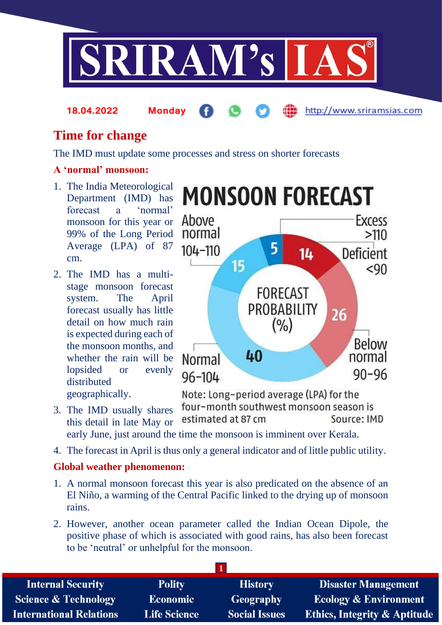

**18.04.2022 Monday**

http://www.sriramsias.com

# **Time for change**

The IMD must update some processes and stress on shorter forecasts

# **A 'normal' monsoon:**

- 1. The India Meteorological Department (IMD) has forecast a 'normal' monsoon for this year or 99% of the Long Period Average (LPA) of 87 cm.
- 2. The IMD has a multistage monsoon forecast system. The April forecast usually has little detail on how much rain is expected during each of the monsoon months, and whether the rain will be lopsided or evenly distributed geographically.



Note: Long-period average (LPA) for the four-month southwest monsoon season is 3. The IMD usually shares estimated at 87 cm Source: IMD this detail in late May or early June, just around the time the monsoon is imminent over Kerala.

4. The forecast in April is thus only a general indicator and of little public utility.

## **Global weather phenomenon:**

- 1. A normal monsoon forecast this year is also predicated on the absence of an El Niño, a warming of the Central Pacific linked to the drying up of monsoon rains.
- 2. However, another ocean parameter called the Indian Ocean Dipole, the positive phase of which is associated with good rains, has also been forecast to be 'neutral' or unhelpful for the monsoon.

| <b>Internal Security</b>        | <b>Polity</b>       | <b>History</b>       | <b>Disaster Management</b>              |
|---------------------------------|---------------------|----------------------|-----------------------------------------|
| <b>Science &amp; Technology</b> | <b>Economic</b>     | Geography            | <b>Ecology &amp; Environment</b>        |
| <b>International Relations</b>  | <b>Life Science</b> | <b>Social Issues</b> | <b>Ethics, Integrity &amp; Aptitude</b> |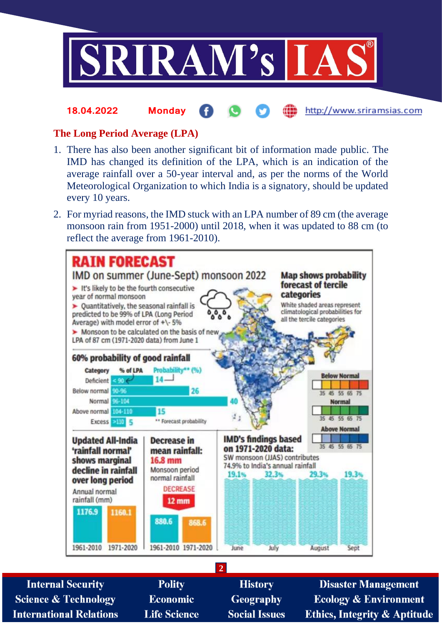

#### http://www.sriramsias.com **18.04.2022 Monday**

#### **The Long Period Average (LPA)**

- 1. There has also been another significant bit of information made public. The IMD has changed its definition of the LPA, which is an indication of the average rainfall over a 50-year interval and, as per the norms of the World Meteorological Organization to which India is a signatory, should be updated every 10 years.
- 2. For myriad reasons, the IMD stuck with an LPA number of 89 cm (the average monsoon rain from 1951-2000) until 2018, when it was updated to 88 cm (to reflect the average from 1961-2010).



**2**

**Internal Security Science & Technology International Relations** 

**Polity Economic Life Science** 

**History Geography Social Issues** 

**Disaster Management Ecology & Environment Ethics, Integrity & Aptitude**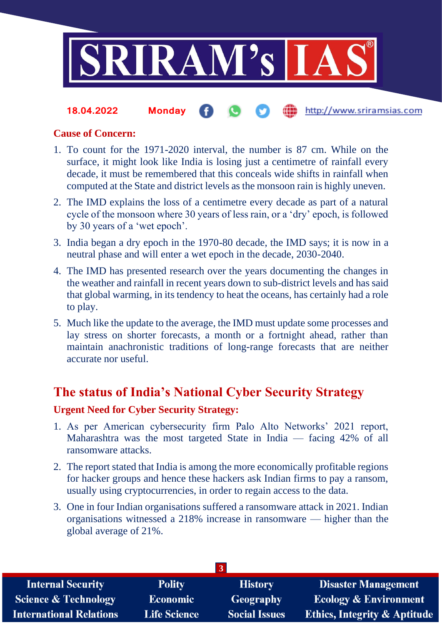

#### the http://www.sriramsias.com **18.04.2022 Monday**

#### **Cause of Concern:**

- 1. To count for the 1971-2020 interval, the number is 87 cm. While on the surface, it might look like India is losing just a centimetre of rainfall every decade, it must be remembered that this conceals wide shifts in rainfall when computed at the State and district levels as the monsoon rain is highly uneven.
- 2. The IMD explains the loss of a centimetre every decade as part of a natural cycle of the monsoon where 30 years of less rain, or a 'dry' epoch, is followed by 30 years of a 'wet epoch'.
- 3. India began a dry epoch in the 1970-80 decade, the IMD says; it is now in a neutral phase and will enter a wet epoch in the decade, 2030-2040.
- 4. The IMD has presented research over the years documenting the changes in the weather and rainfall in recent years down to sub-district levels and has said that global warming, in its tendency to heat the oceans, has certainly had a role to play.
- 5. Much like the update to the average, the IMD must update some processes and lay stress on shorter forecasts, a month or a fortnight ahead, rather than maintain anachronistic traditions of long-range forecasts that are neither accurate nor useful.

# **The status of India's National Cyber Security Strategy**

### **Urgent Need for Cyber Security Strategy:**

- 1. As per American cybersecurity firm Palo Alto Networks' 2021 report, Maharashtra was the most targeted State in India — facing 42% of all ransomware attacks.
- 2. The report stated that India is among the more economically profitable regions for hacker groups and hence these hackers ask Indian firms to pay a ransom, usually using cryptocurrencies, in order to regain access to the data.
- 3. One in four Indian organisations suffered a ransomware attack in 2021. Indian organisations witnessed a 218% increase in ransomware — higher than the global average of 21%.

| <b>Internal Security</b>        | <b>Polity</b>       | <b>History</b>       | <b>Disaster Management</b>              |  |  |
|---------------------------------|---------------------|----------------------|-----------------------------------------|--|--|
| <b>Science &amp; Technology</b> | <b>Economic</b>     | <b>Geography</b>     | <b>Ecology &amp; Environment</b>        |  |  |
| <b>International Relations</b>  | <b>Life Science</b> | <b>Social Issues</b> | <b>Ethics, Integrity &amp; Aptitude</b> |  |  |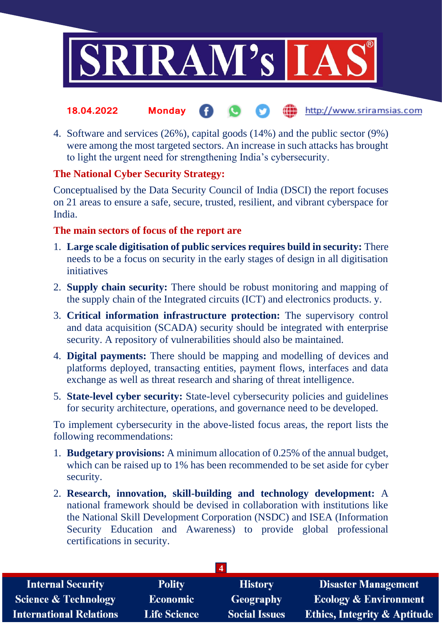

- the http://www.sriramsias.com **18.04.2022 Monday**
- 4. Software and services (26%), capital goods (14%) and the public sector (9%) were among the most targeted sectors. An increase in such attacks has brought to light the urgent need for strengthening India's cybersecurity.

### **The National Cyber Security Strategy:**

Conceptualised by the Data Security Council of India (DSCI) the report focuses on 21 areas to ensure a safe, secure, trusted, resilient, and vibrant cyberspace for India.

### **The main sectors of focus of the report are**

- 1. **Large scale digitisation of public services requires build in security:** There needs to be a focus on security in the early stages of design in all digitisation initiatives
- 2. **Supply chain security:** There should be robust monitoring and mapping of the supply chain of the Integrated circuits (ICT) and electronics products. y.
- 3. **Critical information infrastructure protection:** The supervisory control and data acquisition (SCADA) security should be integrated with enterprise security. A repository of vulnerabilities should also be maintained.
- 4. **Digital payments:** There should be mapping and modelling of devices and platforms deployed, transacting entities, payment flows, interfaces and data exchange as well as threat research and sharing of threat intelligence.
- 5. **State-level cyber security:** State-level cybersecurity policies and guidelines for security architecture, operations, and governance need to be developed.

To implement cybersecurity in the above-listed focus areas, the report lists the following recommendations:

- 1. **Budgetary provisions:** A minimum allocation of 0.25% of the annual budget, which can be raised up to 1% has been recommended to be set aside for cyber security.
- 2. **Research, innovation, skill-building and technology development:** A national framework should be devised in collaboration with institutions like the National Skill Development Corporation (NSDC) and ISEA (Information Security Education and Awareness) to provide global professional certifications in security.

| <b>Polity</b>       | <b>History</b>       | <b>Disaster Management</b>              |  |  |  |
|---------------------|----------------------|-----------------------------------------|--|--|--|
| <b>Economic</b>     | Geography            | <b>Ecology &amp; Environment</b>        |  |  |  |
| <b>Life Science</b> | <b>Social Issues</b> | <b>Ethics, Integrity &amp; Aptitude</b> |  |  |  |
|                     |                      |                                         |  |  |  |